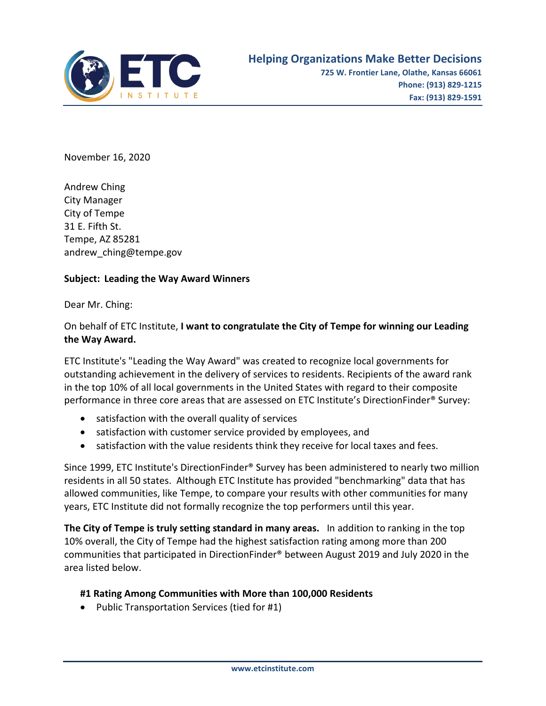

November 16, 2020

Andrew Ching City Manager City of Tempe 31 E. Fifth St. Tempe, AZ 85281 andrew\_ching@tempe.gov

## **Subject: Leading the Way Award Winners**

Dear Mr. Ching:

On behalf of ETC Institute, **I want to congratulate the City of Tempe for winning our Leading the Way Award.** 

ETC Institute's "Leading the Way Award" was created to recognize local governments for outstanding achievement in the delivery of services to residents. Recipients of the award rank in the top 10% of all local governments in the United States with regard to their composite performance in three core areas that are assessed on ETC Institute's DirectionFinder® Survey:

- satisfaction with the overall quality of services
- satisfaction with customer service provided by employees, and
- satisfaction with the value residents think they receive for local taxes and fees.

Since 1999, ETC Institute's DirectionFinder® Survey has been administered to nearly two million residents in all 50 states. Although ETC Institute has provided "benchmarking" data that has allowed communities, like Tempe, to compare your results with other communities for many years, ETC Institute did not formally recognize the top performers until this year.

**The City of Tempe is truly setting standard in many areas.** In addition to ranking in the top 10% overall, the City of Tempe had the highest satisfaction rating among more than 200 communities that participated in DirectionFinder® between August 2019 and July 2020 in the area listed below.

## **#1 Rating Among Communities with More than 100,000 Residents**

• Public Transportation Services (tied for #1)